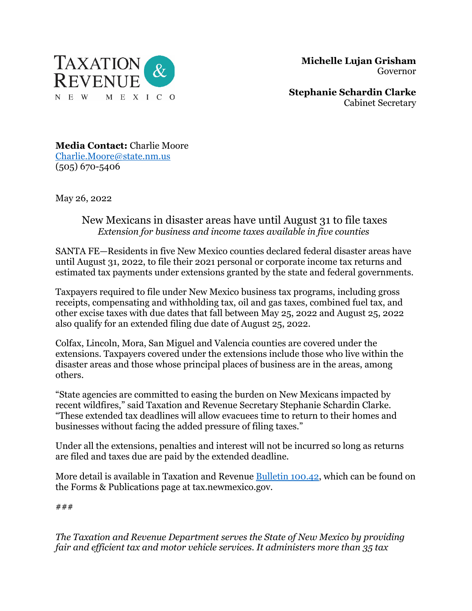

 **Michelle Lujan Grisham** Governor

**Stephanie Schardin Clarke** Cabinet Secretary

**Media Contact:** Charlie Moore [Charlie.Moore@state.nm.us](mailto:Charlie.Moore@state.nm.us) (505) 670-5406

May 26, 2022

## New Mexicans in disaster areas have until August 31 to file taxes *Extension for business and income taxes available in five counties*

SANTA FE—Residents in five New Mexico counties declared federal disaster areas have until August 31, 2022, to file their 2021 personal or corporate income tax returns and estimated tax payments under extensions granted by the state and federal governments.

Taxpayers required to file under New Mexico business tax programs, including gross receipts, compensating and withholding tax, oil and gas taxes, combined fuel tax, and other excise taxes with due dates that fall between May 25, 2022 and August 25, 2022 also qualify for an extended filing due date of August 25, 2022.

Colfax, Lincoln, Mora, San Miguel and Valencia counties are covered under the extensions. Taxpayers covered under the extensions include those who live within the disaster areas and those whose principal places of business are in the areas, among others.

"State agencies are committed to easing the burden on New Mexicans impacted by recent wildfires," said Taxation and Revenue Secretary Stephanie Schardin Clarke. "These extended tax deadlines will allow evacuees time to return to their homes and businesses without facing the added pressure of filing taxes."

Under all the extensions, penalties and interest will not be incurred so long as returns are filed and taxes due are paid by the extended deadline.

More detail is available in Taxation and Revenue **Bulletin 100.42**, which can be found on the Forms & Publications page at tax.newmexico.gov.

###

*The Taxation and Revenue Department serves the State of New Mexico by providing fair and efficient tax and motor vehicle services. It administers more than 35 tax*